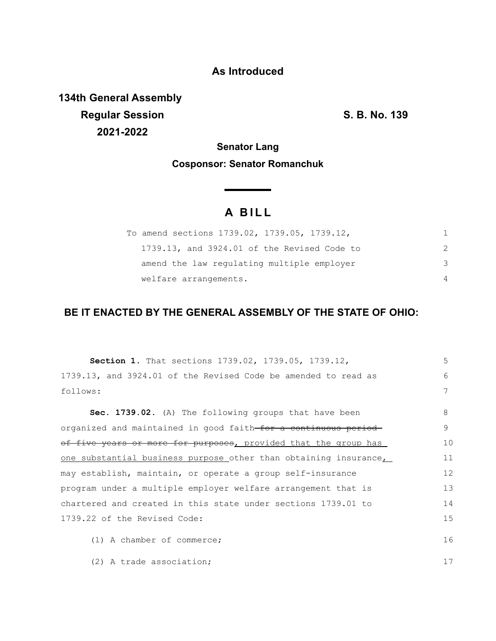## **As Introduced**

**134th General Assembly Regular Session S. B. No. 139 2021-2022**

**Senator Lang**

### **Cosponsor: Senator Romanchuk**

<u> The Common State State Sta</u>te

# **A B I L L**

| To amend sections 1739.02, 1739.05, 1739.12, |   |
|----------------------------------------------|---|
| 1739.13, and 3924.01 of the Revised Code to  |   |
| amend the law regulating multiple employer   | 3 |
| welfare arrangements.                        |   |

## **BE IT ENACTED BY THE GENERAL ASSEMBLY OF THE STATE OF OHIO:**

| <b>Section 1.</b> That sections 1739.02, 1739.05, 1739.12,                 | 5  |
|----------------------------------------------------------------------------|----|
| 1739.13, and 3924.01 of the Revised Code be amended to read as             | 6  |
| follows:                                                                   | 7  |
| Sec. 1739.02. (A) The following groups that have been                      | 8  |
| organized and maintained in good faith <del> for a continuous period</del> | 9  |
| of five years or more for purposes, provided that the group has            | 10 |
| one substantial business purpose other than obtaining insurance            | 11 |
| may establish, maintain, or operate a group self-insurance                 | 12 |
| program under a multiple employer welfare arrangement that is              | 13 |
| chartered and created in this state under sections 1739.01 to              | 14 |
| 1739.22 of the Revised Code:                                               | 15 |
| $(1)$ A chamber of commerce;                                               | 16 |
| (2) A trade association;                                                   | 17 |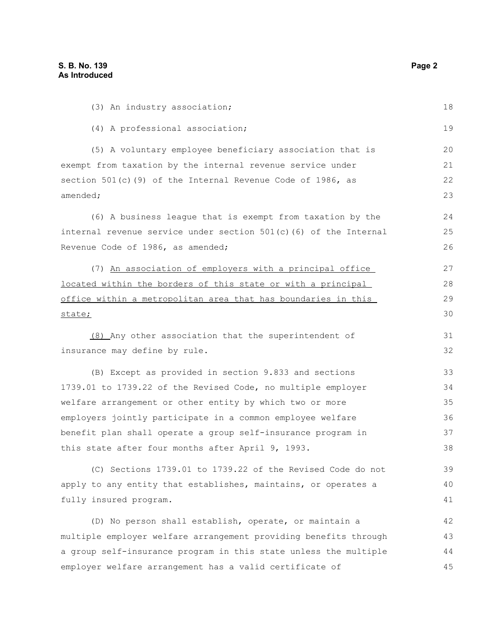| (3) An industry association;                                        | 18 |
|---------------------------------------------------------------------|----|
| (4) A professional association;                                     | 19 |
| (5) A voluntary employee beneficiary association that is            | 20 |
| exempt from taxation by the internal revenue service under          | 21 |
| section 501(c)(9) of the Internal Revenue Code of 1986, as          | 22 |
| amended;                                                            | 23 |
| (6) A business league that is exempt from taxation by the           | 24 |
| internal revenue service under section $501(c)$ (6) of the Internal | 25 |
| Revenue Code of 1986, as amended;                                   | 26 |
| (7) An association of employers with a principal office             | 27 |
| located within the borders of this state or with a principal        | 28 |
| office within a metropolitan area that has boundaries in this       | 29 |
| state;                                                              | 30 |
| (8) Any other association that the superintendent of                | 31 |
| insurance may define by rule.                                       | 32 |
| (B) Except as provided in section 9.833 and sections                | 33 |
| 1739.01 to 1739.22 of the Revised Code, no multiple employer        | 34 |
| welfare arrangement or other entity by which two or more            | 35 |
| employers jointly participate in a common employee welfare          | 36 |
| benefit plan shall operate a group self-insurance program in        | 37 |
| this state after four months after April 9, 1993.                   | 38 |
| (C) Sections 1739.01 to 1739.22 of the Revised Code do not          | 39 |
| apply to any entity that establishes, maintains, or operates a      | 40 |
| fully insured program.                                              | 41 |
| (D) No person shall establish, operate, or maintain a               | 42 |
| multiple employer welfare arrangement providing benefits through    | 43 |
| a group self-insurance program in this state unless the multiple    | 44 |
| employer welfare arrangement has a valid certificate of             | 45 |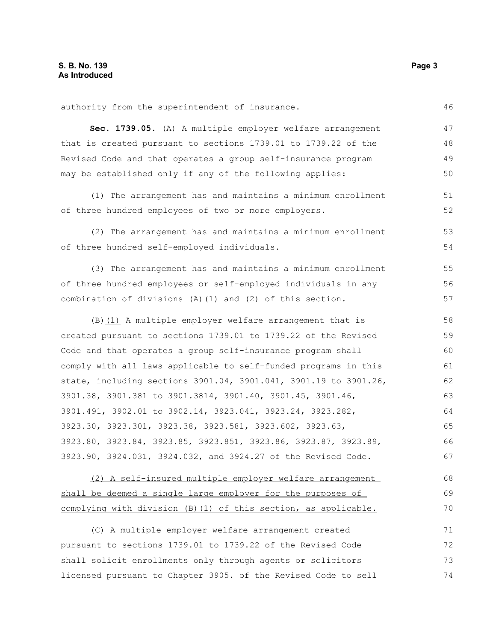authority from the superintendent of insurance.

**Sec. 1739.05.** (A) A multiple employer welfare arrangement that is created pursuant to sections 1739.01 to 1739.22 of the Revised Code and that operates a group self-insurance program may be established only if any of the following applies: 47 48 49 50

(1) The arrangement has and maintains a minimum enrollment of three hundred employees of two or more employers.

(2) The arrangement has and maintains a minimum enrollment of three hundred self-employed individuals. 53 54

(3) The arrangement has and maintains a minimum enrollment of three hundred employees or self-employed individuals in any combination of divisions (A)(1) and (2) of this section.

(B)(1) A multiple employer welfare arrangement that is created pursuant to sections 1739.01 to 1739.22 of the Revised Code and that operates a group self-insurance program shall comply with all laws applicable to self-funded programs in this state, including sections 3901.04, 3901.041, 3901.19 to 3901.26, 3901.38, 3901.381 to 3901.3814, 3901.40, 3901.45, 3901.46, 3901.491, 3902.01 to 3902.14, 3923.041, 3923.24, 3923.282, 3923.30, 3923.301, 3923.38, 3923.581, 3923.602, 3923.63, 3923.80, 3923.84, 3923.85, 3923.851, 3923.86, 3923.87, 3923.89, 3923.90, 3924.031, 3924.032, and 3924.27 of the Revised Code. 58 59 60 61 62 63 64 65 66 67

(2) A self-insured multiple employer welfare arrangement shall be deemed a single large employer for the purposes of complying with division (B)(1) of this section, as applicable. 68 69 70

(C) A multiple employer welfare arrangement created pursuant to sections 1739.01 to 1739.22 of the Revised Code shall solicit enrollments only through agents or solicitors licensed pursuant to Chapter 3905. of the Revised Code to sell 71 72 73 74

46

51 52

55 56 57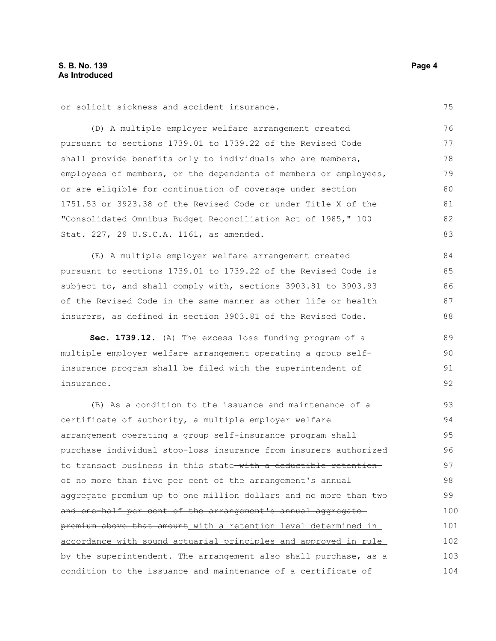75

or solicit sickness and accident insurance.

(D) A multiple employer welfare arrangement created pursuant to sections 1739.01 to 1739.22 of the Revised Code shall provide benefits only to individuals who are members, employees of members, or the dependents of members or employees, or are eligible for continuation of coverage under section 1751.53 or 3923.38 of the Revised Code or under Title X of the "Consolidated Omnibus Budget Reconciliation Act of 1985," 100 Stat. 227, 29 U.S.C.A. 1161, as amended. 76 77 78 79 80 81 82 83

(E) A multiple employer welfare arrangement created pursuant to sections 1739.01 to 1739.22 of the Revised Code is subject to, and shall comply with, sections 3903.81 to 3903.93 of the Revised Code in the same manner as other life or health insurers, as defined in section 3903.81 of the Revised Code. 84 85 86 87 88

**Sec. 1739.12.** (A) The excess loss funding program of a multiple employer welfare arrangement operating a group selfinsurance program shall be filed with the superintendent of insurance. 89 90 91 92

(B) As a condition to the issuance and maintenance of a certificate of authority, a multiple employer welfare arrangement operating a group self-insurance program shall purchase individual stop-loss insurance from insurers authorized to transact business in this state with a deductible retentionof no more than five per cent of the arrangement's annualaggregate premium up to one million dollars and no more than two and one-half per cent of the arrangement's annual aggregate premium above that amount with a retention level determined in accordance with sound actuarial principles and approved in rule by the superintendent. The arrangement also shall purchase, as a condition to the issuance and maintenance of a certificate of 93 94 95 96 97 98 99 100 101 102 103 104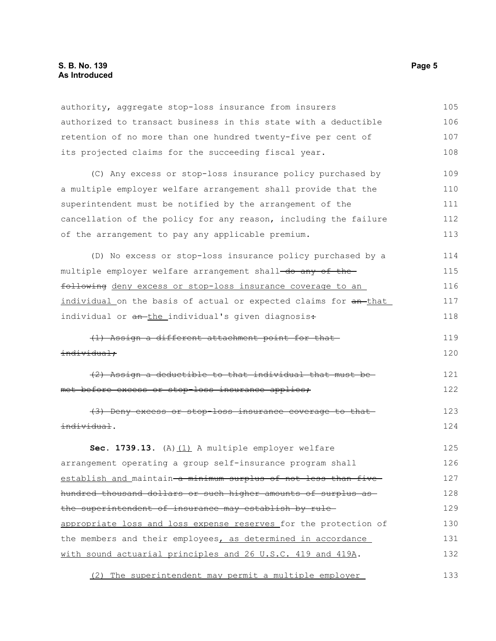#### **S. B. No. 139 Page 5 As Introduced**

authority, aggregate stop-loss insurance from insurers authorized to transact business in this state with a deductible retention of no more than one hundred twenty-five per cent of its projected claims for the succeeding fiscal year. (C) Any excess or stop-loss insurance policy purchased by a multiple employer welfare arrangement shall provide that the superintendent must be notified by the arrangement of the cancellation of the policy for any reason, including the failure of the arrangement to pay any applicable premium. (D) No excess or stop-loss insurance policy purchased by a multiple employer welfare arrangement shall-do any of thefollowing deny excess or stop-loss insurance coverage to an individual on the basis of actual or expected claims for an that individual or an-the individual's given diagnosis: (1) Assign a different attachment point for that individual; (2) Assign a deductible to that individual that must be met before excess or stop-loss insurance applies; (3) Deny excess or stop-loss insurance coverage to that individual. Sec. 1739.13. (A) (1) A multiple employer welfare arrangement operating a group self-insurance program shall establish and maintain a minimum surplus of not less than five hundred thousand dollars or such higher amounts of surplus as the superintendent of insurance may establish by rule appropriate loss and loss expense reserves for the protection of the members and their employees, as determined in accordance with sound actuarial principles and 26 U.S.C. 419 and 419A. 105 106 107 108 109 110 111 112 113 114 115 116 117 118 119 120 121 122 123 124 125 126 127 128 129 130 131 132

(2) The superintendent may permit a multiple employer 133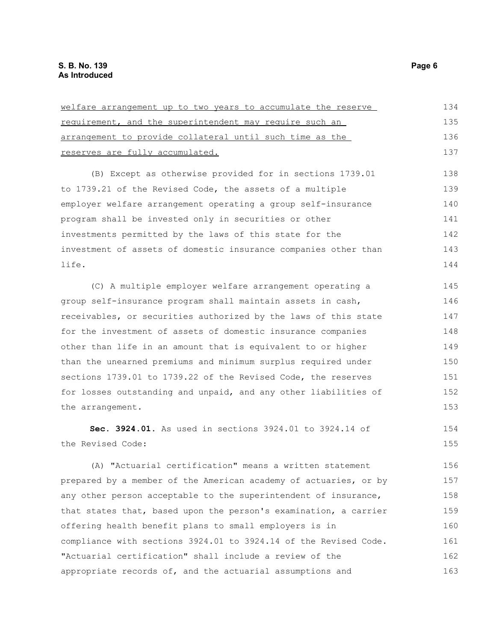| requirement, and the superintendent may require such an          | 135 |
|------------------------------------------------------------------|-----|
| arrangement to provide collateral until such time as the         | 136 |
| reserves are fully accumulated.                                  | 137 |
| (B) Except as otherwise provided for in sections 1739.01         | 138 |
| to 1739.21 of the Revised Code, the assets of a multiple         | 139 |
| employer welfare arrangement operating a group self-insurance    | 140 |
| program shall be invested only in securities or other            | 141 |
| investments permitted by the laws of this state for the          | 142 |
| investment of assets of domestic insurance companies other than  | 143 |
| life.                                                            | 144 |
| (C) A multiple employer welfare arrangement operating a          | 145 |
| group self-insurance program shall maintain assets in cash,      | 146 |
| receivables, or securities authorized by the laws of this state  | 147 |
|                                                                  |     |
| for the investment of assets of domestic insurance companies     | 148 |
| other than life in an amount that is equivalent to or higher     | 149 |
| than the unearned premiums and minimum surplus required under    | 150 |
| sections 1739.01 to 1739.22 of the Revised Code, the reserves    | 151 |
| for losses outstanding and unpaid, and any other liabilities of  | 152 |
| the arrangement.                                                 | 153 |
| Sec. 3924.01. As used in sections 3924.01 to 3924.14 of          | 154 |
| the Revised Code:                                                | 155 |
| (A) "Actuarial certification" means a written statement          | 156 |
| prepared by a member of the American academy of actuaries, or by | 157 |
| any other person acceptable to the superintendent of insurance,  | 158 |
| that states that, based upon the person's examination, a carrier | 159 |
| offering health benefit plans to small employers is in           | 160 |
| compliance with sections 3924.01 to 3924.14 of the Revised Code. | 161 |
| "Actuarial certification" shall include a review of the          | 162 |
| appropriate records of, and the actuarial assumptions and        | 163 |
|                                                                  |     |

welfare arrangement up to two years to accumulate the reserve 134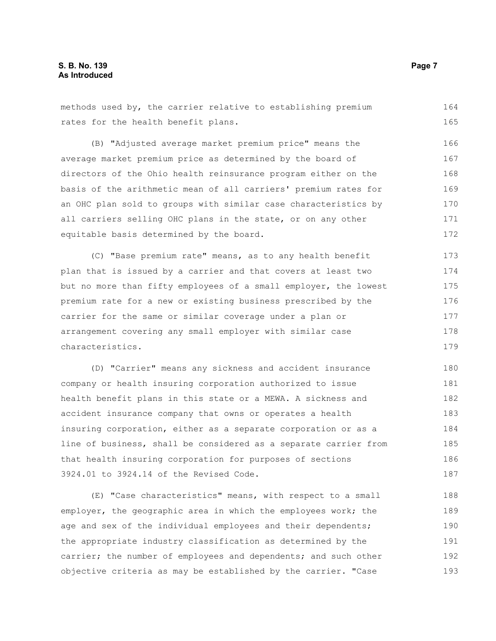methods used by, the carrier relative to establishing premium rates for the health benefit plans. 164 165

(B) "Adjusted average market premium price" means the average market premium price as determined by the board of directors of the Ohio health reinsurance program either on the basis of the arithmetic mean of all carriers' premium rates for an OHC plan sold to groups with similar case characteristics by all carriers selling OHC plans in the state, or on any other equitable basis determined by the board. 166 167 168 169 170 171 172

(C) "Base premium rate" means, as to any health benefit plan that is issued by a carrier and that covers at least two but no more than fifty employees of a small employer, the lowest premium rate for a new or existing business prescribed by the carrier for the same or similar coverage under a plan or arrangement covering any small employer with similar case characteristics. 173 174 175 176 177 178 179

(D) "Carrier" means any sickness and accident insurance company or health insuring corporation authorized to issue health benefit plans in this state or a MEWA. A sickness and accident insurance company that owns or operates a health insuring corporation, either as a separate corporation or as a line of business, shall be considered as a separate carrier from that health insuring corporation for purposes of sections 3924.01 to 3924.14 of the Revised Code. 180 181 182 183 184 185 186 187

(E) "Case characteristics" means, with respect to a small employer, the geographic area in which the employees work; the age and sex of the individual employees and their dependents; the appropriate industry classification as determined by the carrier; the number of employees and dependents; and such other objective criteria as may be established by the carrier. "Case 188 189 190 191 192 193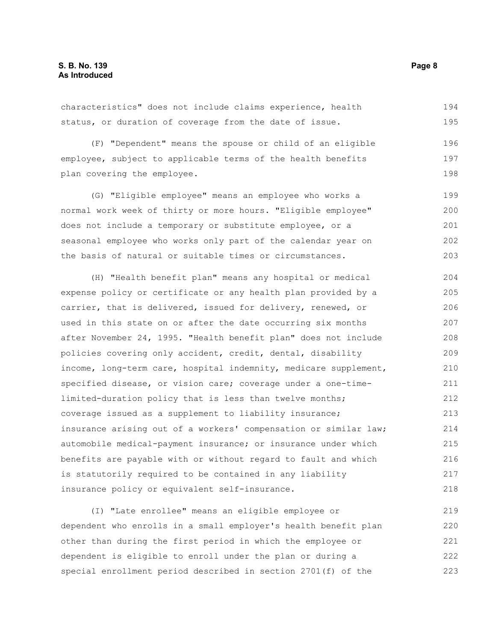characteristics" does not include claims experience, health status, or duration of coverage from the date of issue. 194 195

(F) "Dependent" means the spouse or child of an eligible employee, subject to applicable terms of the health benefits plan covering the employee.

(G) "Eligible employee" means an employee who works a normal work week of thirty or more hours. "Eligible employee" does not include a temporary or substitute employee, or a seasonal employee who works only part of the calendar year on the basis of natural or suitable times or circumstances. 199 200 201 202 203

(H) "Health benefit plan" means any hospital or medical expense policy or certificate or any health plan provided by a carrier, that is delivered, issued for delivery, renewed, or used in this state on or after the date occurring six months after November 24, 1995. "Health benefit plan" does not include policies covering only accident, credit, dental, disability income, long-term care, hospital indemnity, medicare supplement, specified disease, or vision care; coverage under a one-timelimited-duration policy that is less than twelve months; coverage issued as a supplement to liability insurance; insurance arising out of a workers' compensation or similar law; automobile medical-payment insurance; or insurance under which benefits are payable with or without regard to fault and which is statutorily required to be contained in any liability insurance policy or equivalent self-insurance. 204 205 206 207 208 209 210 211 212 213 214 215 216 217 218

(I) "Late enrollee" means an eligible employee or dependent who enrolls in a small employer's health benefit plan other than during the first period in which the employee or dependent is eligible to enroll under the plan or during a special enrollment period described in section 2701(f) of the 219 220 221 222 223

196 197 198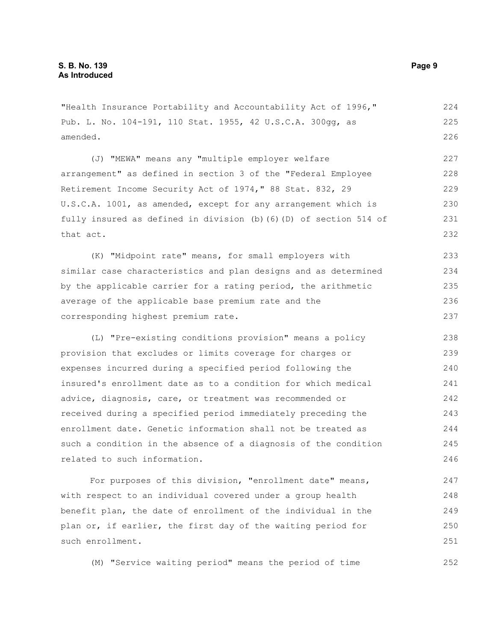"Health Insurance Portability and Accountability Act of 1996," Pub. L. No. 104-191, 110 Stat. 1955, 42 U.S.C.A. 300gg, as amended.

(J) "MEWA" means any "multiple employer welfare arrangement" as defined in section 3 of the "Federal Employee Retirement Income Security Act of 1974," 88 Stat. 832, 29 U.S.C.A. 1001, as amended, except for any arrangement which is fully insured as defined in division (b)(6)(D) of section 514 of that act. 227 228 229 230 231 232

(K) "Midpoint rate" means, for small employers with similar case characteristics and plan designs and as determined by the applicable carrier for a rating period, the arithmetic average of the applicable base premium rate and the corresponding highest premium rate. 233 234 235 236 237

(L) "Pre-existing conditions provision" means a policy provision that excludes or limits coverage for charges or expenses incurred during a specified period following the insured's enrollment date as to a condition for which medical advice, diagnosis, care, or treatment was recommended or received during a specified period immediately preceding the enrollment date. Genetic information shall not be treated as such a condition in the absence of a diagnosis of the condition related to such information. 238 239 240 241 242 243 244 245 246

For purposes of this division, "enrollment date" means, with respect to an individual covered under a group health benefit plan, the date of enrollment of the individual in the plan or, if earlier, the first day of the waiting period for such enrollment. 247 248 249 250 251

(M) "Service waiting period" means the period of time

224 225 226

252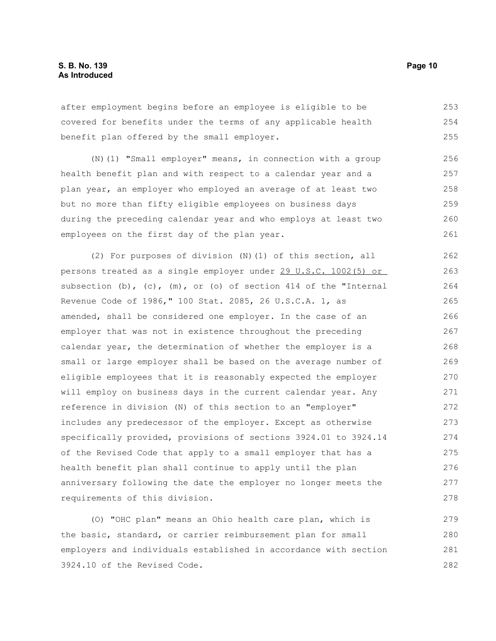after employment begins before an employee is eligible to be covered for benefits under the terms of any applicable health benefit plan offered by the small employer. 253 254 255

(N)(1) "Small employer" means, in connection with a group health benefit plan and with respect to a calendar year and a plan year, an employer who employed an average of at least two but no more than fifty eligible employees on business days during the preceding calendar year and who employs at least two employees on the first day of the plan year. 256 257 258 259 260 261

(2) For purposes of division  $(N)$  (1) of this section, all persons treated as a single employer under 29 U.S.C. 1002(5) or subsection  $(b)$ ,  $(c)$ ,  $(m)$ , or  $(o)$  of section 414 of the "Internal Revenue Code of 1986," 100 Stat. 2085, 26 U.S.C.A. 1, as amended, shall be considered one employer. In the case of an employer that was not in existence throughout the preceding calendar year, the determination of whether the employer is a small or large employer shall be based on the average number of eligible employees that it is reasonably expected the employer will employ on business days in the current calendar year. Any reference in division (N) of this section to an "employer" includes any predecessor of the employer. Except as otherwise specifically provided, provisions of sections 3924.01 to 3924.14 of the Revised Code that apply to a small employer that has a health benefit plan shall continue to apply until the plan anniversary following the date the employer no longer meets the requirements of this division. 262 263 264 265 266 267 268 269 270 271 272 273 274 275 276 277 278

(O) "OHC plan" means an Ohio health care plan, which is the basic, standard, or carrier reimbursement plan for small employers and individuals established in accordance with section 3924.10 of the Revised Code. 279 280 281 282